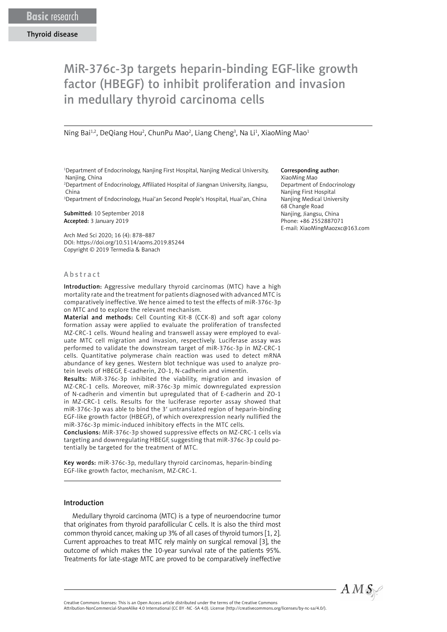# MiR-376c-3p targets heparin-binding EGF-like growth factor (HBEGF) to inhibit proliferation and invasion in medullary thyroid carcinoma cells

Ning Bai<sup>1,2</sup>, DeQiang Hou<sup>2</sup>, ChunPu Mao<sup>2</sup>, Liang Cheng<sup>3</sup>, Na Li<sup>1</sup>, XiaoMing Mao<sup>1</sup>

1 Department of Endocrinology, Nanjing First Hospital, Nanjing Medical University, Nanjing, China

2 Department of Endocrinology, Affiliated Hospital of Jiangnan University, Jiangsu, China

3 Department of Endocrinology, Huai'an Second People's Hospital, Huai'an, China

Submitted: 10 September 2018 Accepted: 3 January 2019

Arch Med Sci 2020; 16 (4): 878–887 DOI: https://doi.org/10.5114/aoms.2019.85244 Copyright © 2019 Termedia & Banach

#### Corresponding author:

XiaoMing Mao Department of Endocrinology Nanjing First Hospital Nanjing Medical University 68 Changle Road Nanjing, Jiangsu, China Phone: +86 2552887071 E-mail: [XiaoMingMaozxc@163.com](mailto:XiaoMingMaozxc@163.com)

# A b s t r a c t

Introduction: Aggressive medullary thyroid carcinomas (MTC) have a high mortality rate and the treatment for patients diagnosed with advanced MTC is comparatively ineffective. We hence aimed to test the effects of miR-376c-3p on MTC and to explore the relevant mechanism.

Material and methods: Cell Counting Kit-8 (CCK-8) and soft agar colony formation assay were applied to evaluate the [proliferation](https://www.sciencedirect.com/topics/medicine-and-dentistry/cell-growth) of transfected MZ-CRC-1 cells. Wound healing and transwell assay were employed to evaluate MTC cell migration and invasion, respectively. Luciferase assay was performed to validate the downstream target of miR-376c-3p in MZ-CRC-1 cells. Quantitative polymerase chain reaction was used to detect mRNA abundance of key genes. [Western blot](https://www.sciencedirect.com/topics/medicine-and-dentistry/western-blot) technique was used to analyze protein levels of HBEGF, E-cadherin, ZO-1, N-cadherin and vimentin.

Results: MiR-376c-3p inhibited the viability, migration and invasion of MZ-CRC-1 cells. Moreover, miR-376c-3p mimic downregulated expression of N-cadherin and vimentin but upregulated that of E-cadherin and ZO-1 in MZ-CRC-1 cells. Results for the luciferase reporter assay showed that miR-376c-3p was able to bind the 3′ untranslated region of heparin-binding EGF-like growth factor (HBEGF), of which overexpression nearly nullified the miR-376c-3p mimic-induced inhibitory effects in the MTC cells.

Conclusions: MiR-376c-3p showed suppressive effects on MZ-CRC-1 cells via targeting and downregulating HBEGF, suggesting that miR-376c-3p could potentially be targeted for the treatment of MTC.

Key words: miR-376c-3p, medullary thyroid carcinomas, heparin-binding EGF-like growth factor, mechanism, MZ-CRC-1.

#### Introduction

Medullary thyroid carcinoma (MTC) is a type of neuroendocrine tumor that originates from thyroid parafollicular C cells. It is also the third most common thyroid cancer, making up 3% of all cases of thyroid tumors [1, 2]. Current approaches to treat MTC rely mainly on surgical removal [3], the outcome of which makes the 10-year survival rate of the patients 95%. Treatments for late-stage MTC are proved to be comparatively ineffective



Attribution-NonCommercial-ShareAlike 4.0 International (CC BY -NC -SA 4.0). License (http://creativecommons.org/licenses/by-nc-sa/4.0/).

Creative Commons licenses: This is an Open Access article distributed under the terms of the Creative Commons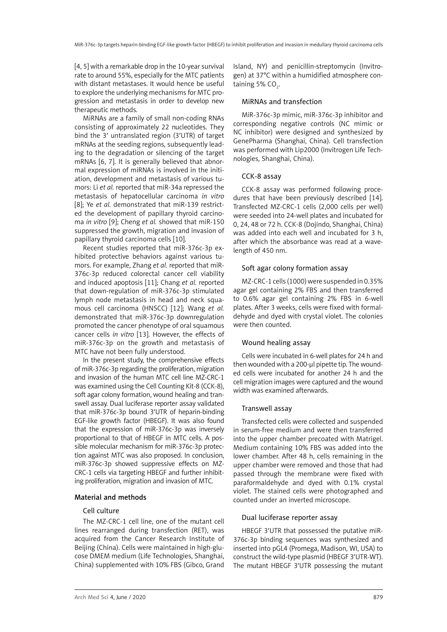[4, 5] with a remarkable drop in the 10-year survival rate to around 55%, especially for the MTC patients with distant metastases. It would hence be useful to explore the underlying mechanisms for MTC progression and metastasis in order to develop new therapeutic methods.

MiRNAs are a family of small non-coding RNAs consisting of approximately 22 nucleotides. They bind the 3′ untranslated region (3′UTR) of target mRNAs at the seeding regions, subsequently leading to the degradation or silencing of the target mRNAs [6, 7]. It is generally believed that abnormal expression of miRNAs is involved in the initiation, development and metastasis of various tumors: Li *et al.* reported that miR-34a repressed the metastasis of hepatocellular carcinoma *in vitro* [8]; Ye *et al.* demonstrated that miR-139 restricted the development of papillary thyroid carcinoma *in vitro* [9]; Cheng *et al.* showed that miR-150 suppressed the growth, migration and invasion of papillary thyroid carcinoma cells [10].

Recent studies reported that miR-376c-3p exhibited protective behaviors against various tumors. For example, Zhang *et al.* reported that miR-376c-3p reduced colorectal cancer cell viability and induced apoptosis [11]; Chang *et al.* reported that down-regulation of miR-376c-3p stimulated lymph node metastasis in head and neck squamous cell carcinoma (HNSCC) [12]; Wang *et al.* demonstrated that miR-376c-3p downregulation promoted the cancer phenotype of oral squamous cancer cells *in vitro* [13]. However, the effects of miR-376c-3p on the growth and metastasis of MTC have not been fully understood.

In the present study, the comprehensive effects of miR-376c-3p regarding the proliferation, migration and invasion of the human MTC cell line MZ-CRC-1 was examined using the Cell Counting Kit-8 (CCK-8), soft agar colony formation, wound healing and transwell assay. Dual luciferase reporter assay validated that miR-376c-3p bound 3′UTR of heparin-binding EGF-like growth factor (HBEGF). It was also found that the expression of miR-376c-3p was inversely proportional to that of HBEGF in MTC cells. A possible molecular mechanism for miR-376c-3p protection against MTC was also proposed. In conclusion, miR-376c-3p showed suppressive effects on MZ-CRC-1 cells via targeting HBEGF and further inhibiting proliferation, migration and invasion of MTC.

# Material and methods

# Cell culture

The MZ-CRC-1 cell line, one of the mutant cell lines rearranged during transfection (RET), was acquired from the Cancer Research Institute of Beijing (China). Cells were maintained in high-glucose DMEM medium (Life Technologies, Shanghai, China) supplemented with 10% FBS (Gibco, Grand Island, NY) and penicillin-streptomycin (Invitrogen) at 37°C within a humidified atmosphere containing 5% CO<sub>2</sub>.

#### MiRNAs and transfection

MiR-376c-3p mimic, miR-376c-3p inhibitor and corresponding negative controls (NC mimic or NC inhibitor) were designed and synthesized by GenePharma (Shanghai, China). Cell transfection was performed with Lip2000 (Invitrogen Life Technologies, Shanghai, China).

## CCK-8 assay

CCK-8 assay was performed following procedures that have been previously described [14]. Transfected MZ-CRC-1 cells (2,000 cells per well) were seeded into 24-well plates and incubated for 0, 24, 48 or 72 h. CCK-8 (Dojindo, Shanghai, China) was added into each well and incubated for 3 h, after which the absorbance was read at a wavelength of 450 nm.

## Soft agar colony formation assay

MZ-CRC-1 cells (1000) were suspended in 0.35% agar gel containing 2% FBS and then transferred to 0.6% agar gel containing 2% FBS in 6-well plates. After 3 weeks, cells were fixed with formaldehyde and dyed with crystal violet. The colonies were then counted.

## Wound healing assay

Cells were incubated in 6-well plates for 24 h and then wounded with a 200-ul pipette tip. The wounded cells were incubated for another 24 h and the cell migration images were captured and the wound width was examined afterwards.

#### Transwell assay

Transfected cells were collected and suspended in serum-free medium and were then transferred into the upper chamber precoated with Matrigel. Medium containing 10% FBS was added into the lower chamber. After 48 h, cells remaining in the upper chamber were removed and those that had passed through the membrane were fixed with paraformaldehyde and dyed with 0.1% crystal violet. The stained cells were photographed and counted under an inverted microscope.

#### Dual luciferase reporter assay

HBEGF 3′UTR that possessed the putative miR-376c-3p binding sequences was synthesized and inserted into pGL4 (Promega, Madison, WI, USA) to construct the wild-type plasmid (HBEGF 3′UTR-WT). The mutant HBEGF 3′UTR possessing the mutant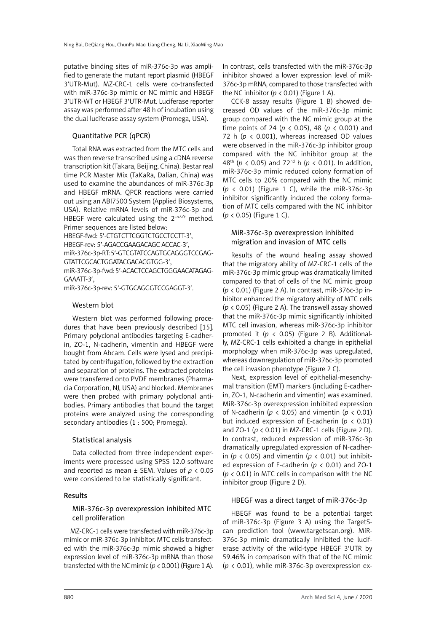putative binding sites of miR-376c-3p was amplified to generate the mutant report plasmid (HBEGF 3′UTR-Mut). MZ-CRC-1 cells were co-transfected with miR-376c-3p mimic or NC mimic and HBEGF 3′UTR-WT or HBEGF 3′UTR-Mut. Luciferase reporter assay was performed after 48 h of incubation using the dual luciferase assay system (Promega, USA).

# Quantitative PCR (qPCR)

Total RNA was extracted from the MTC cells and was then reverse transcribed using a cDNA reverse transcription kit (Takara, Beijing, China). Bestar real time PCR Master Mix (TaKaRa, Dalian, China) was used to examine the abundances of miR-376c-3p and HBEGF mRNA. QPCR reactions were carried out using an ABI7500 System (Applied Biosystems, USA). Relative mRNA levels of miR-376c-3p and HBEGF were calculated using the 2<sup>-ΔΔCt</sup> method. Primer sequences are listed below:

HBEGF-fwd: 5′-CTGTCTTCGGTCTGCCTCCTT-3′, HBEGF-rev: 5′-AGACCGAAGACAGC ACCAC-3′, miR-376c-3p-RT: 5′-GTCGTATCCAGTGCAGGGTCCGAG-GTATTCGCACTGGATACGACACGTGG-3′, miR-376c-3p-fwd: 5′-ACACTCCAGCTGGGAACATAGAG-

GAAATT-3′,

miR-376c-3p-rev: 5′-GTGCAGGGTCCGAGGT-3′.

# Western blot

Western blot was performed following procedures that have been previously described [15]. Primary polyclonal antibodies targeting E-cadherin, ZO-1, N-cadherin, vimentin and HBEGF were bought from Abcam. Cells were lysed and precipitated by centrifugation, followed by the extraction and separation of proteins. The extracted proteins were transferred onto PVDF membranes (Pharmacia Corporation, NJ, USA) and blocked. Membranes were then probed with primary polyclonal antibodies. Primary antibodies that bound the target proteins were analyzed using the corresponding secondary antibodies (1 : 500; Promega).

# Statistical analysis

Data collected from three independent experiments were processed using SPSS 12.0 software and reported as mean ± SEM. Values of *p* < 0.05 were considered to be statistically significant.

# Results

# MiR-376c-3p overexpression inhibited MTC cell proliferation

MZ-CRC-1 cells were transfected with miR-376c-3p mimic or miR-376c-3p inhibitor. MTC cells transfected with the miR-376c-3p mimic showed a higher expression level of miR-376c-3p mRNA than those transfected with the NC mimic  $(p < 0.001)$  (Figure 1 A).

In contrast, cells transfected with the miR-376c-3p inhibitor showed a lower expression level of miR-376c-3p mRNA, compared to those transfected with the NC inhibitor  $(p < 0.01)$  (Figure 1 A).

CCK-8 assay results (Figure 1 B) showed decreased OD values of the miR-376c-3p mimic group compared with the NC mimic group at the time points of 24 (*p* < 0.05), 48 (*p* < 0.001) and 72 h ( $p \lt 0.001$ ), whereas increased OD values were observed in the miR-376c-3p inhibitor group compared with the NC inhibitor group at the 48<sup>th</sup> ( $p$  < 0.05) and 72<sup>nd</sup> h ( $p$  < 0.01). In addition, miR-376c-3p mimic reduced colony formation of MTC cells to 20% compared with the NC mimic (*p* < 0.01) (Figure 1 C), while the miR-376c-3p inhibitor significantly induced the colony formation of MTC cells compared with the NC inhibitor (*p* < 0.05) (Figure 1 C).

# MiR-376c-3p overexpression inhibited migration and invasion of MTC cells

Results of the wound healing assay showed that the migratory ability of MZ-CRC-1 cells of the miR-376c-3p mimic group was dramatically limited compared to that of cells of the NC mimic group (*p* < 0.01) (Figure 2 A). In contrast, miR-376c-3p inhibitor enhanced the migratory ability of MTC cells (*p* < 0.05) (Figure 2 A). The transwell assay showed that the miR-376c-3p mimic significantly inhibited MTC cell invasion, whereas miR-376c-3p inhibitor promoted it  $(p < 0.05)$  (Figure 2 B). Additionally, MZ-CRC-1 cells exhibited a change in epithelial morphology when miR-376c-3p was upregulated, whereas downregulation of miR-376c-3p promoted the cell invasion phenotype (Figure 2 C).

Next, expression level of epithelial-mesenchymal transition (EMT) markers (including E-cadherin, ZO-1, N-cadherin and vimentin) was examined. MiR-376c-3p overexpression inhibited expression of N-cadherin ( $p < 0.05$ ) and vimentin ( $p < 0.01$ ) but induced expression of E-cadherin (*p* < 0.01) and ZO-1 (*p* < 0.01) in MZ-CRC-1 cells (Figure 2 D). In contrast, reduced expression of miR-376c-3p dramatically upregulated expression of N-cadherin ( $p \lt 0.05$ ) and vimentin ( $p \lt 0.01$ ) but inhibited expression of E-cadherin (*p* < 0.01) and ZO-1 (*p* < 0.01) in MTC cells in comparison with the NC inhibitor group (Figure 2 D).

# HBEGF was a direct target of miR-376c-3p

HBEGF was found to be a potential target of miR-376c-3p (Figure 3 A) using the TargetScan prediction tool (www.targetscan.org). MiR-376c-3p mimic dramatically inhibited the luciferase activity of the wild-type HBEGF 3′UTR by 59.46% in comparison with that of the NC mimic (*p* < 0.01), while miR-376c-3p overexpression ex-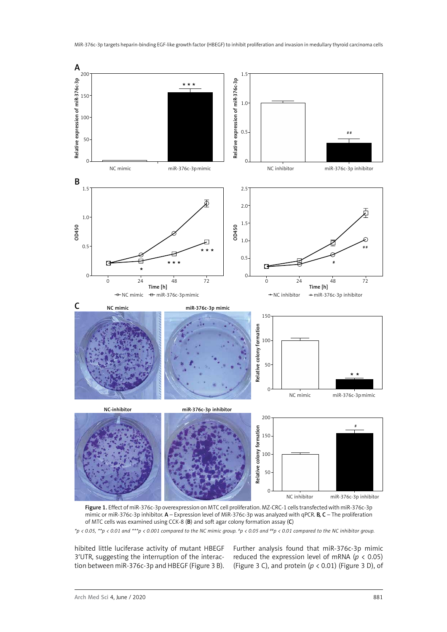

Figure 1. Effect of miR-376c-3p overexpression on MTC cell proliferation. MZ-CRC-1 cells transfected with miR-376c-3p mimic or miR-376c-3p inhibitor.  $A$  – Expression level of MiR-376c-3p was analyzed with qPCR. **B, C** – The proliferation of MTC cells was examined using CCK-8 (B) and soft agar colony formation assay (C)

hibited little luciferase activity of mutant HBEGF 3′UTR, suggesting the interruption of the interaction between miR-376c-3p and HBEGF (Figure 3 B). Further analysis found that miR-376c-3p mimic reduced the expression level of mRNA (*p* < 0.05) (Figure 3 C), and protein ( $p < 0.01$ ) (Figure 3 D), of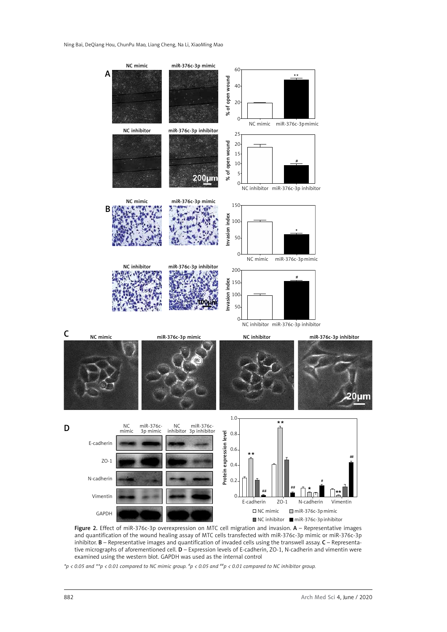

Figure 2. Effect of miR-376c-3p overexpression on MTC cell migration and invasion. A - Representative images and quantification of the wound healing assay of MTC cells transfected with miR-376c-3p mimic or miR-376c-3p inhibitor.  $B$  – Representative images and quantification of invaded cells using the transwell assay.  $C$  – Representative micrographs of aforementioned cell.  $D$  – Expression levels of E-cadherin, ZO-1, N-cadherin and vimentin were examined using the western blot. GAPDH was used as the internal control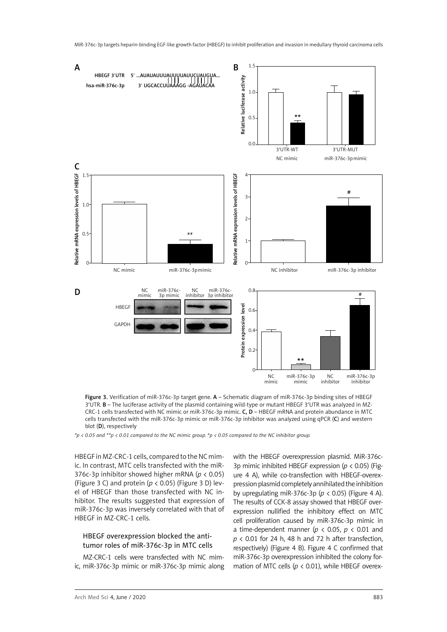

Figure 3. Verification of miR-376c-3p target gene. A – Schematic diagram of miR-376c-3p binding sites of HBEGF 3′UTR. B – The luciferase activity of the plasmid containing wild-type or mutant HBEGF 3′UTR was analyzed in MZ-CRC-1 cells transfected with NC mimic or miR-376c-3p mimic. C, D – HBEGF mRNA and protein abundance in MTC cells transfected with the miR-376c-3p mimic or miR-376c-3p inhibitor was analyzed using qPCR (C) and western blot (D), respectively

*\*p < 0.05 and \*\*p < 0.01 compared to the NC mimic group. #p < 0.05 compared to the NC inhibitor group.*

HBEGF in MZ-CRC-1 cells, compared to the NC mimic. In contrast, MTC cells transfected with the miR-376c-3p inhibitor showed higher mRNA (*p* < 0.05) (Figure 3 C) and protein (*p* < 0.05) (Figure 3 D) level of HBEGF than those transfected with NC inhibitor. The results suggested that expression of miR-376c-3p was inversely correlated with that of HBEGF in MZ-CRC-1 cells.

## HBEGF overexpression blocked the antitumor roles of miR-376c-3p in MTC cells

MZ-CRC-1 cells were transfected with NC mimic, miR-376c-3p mimic or miR-376c-3p mimic along with the HBEGF overexpression plasmid. MiR-376c-3p mimic inhibited HBEGF expression (*p* < 0.05) (Figure 4 A), while co-transfection with HBEGF-overexpression plasmid completely annihilated the inhibition by upregulating miR-376c-3p ( $p$  < 0.05) (Figure 4 A). The results of CCK-8 assay showed that HBEGF overexpression nullified the inhibitory effect on MTC cell proliferation caused by miR-376c-3p mimic in a time-dependent manner ( $p < 0.05$ ,  $p < 0.01$  and *p* < 0.01 for 24 h, 48 h and 72 h after transfection, respectively) (Figure 4 B). Figure 4 C confirmed that miR-376c-3p overexpression inhibited the colony formation of MTC cells (*p* < 0.01), while HBEGF overex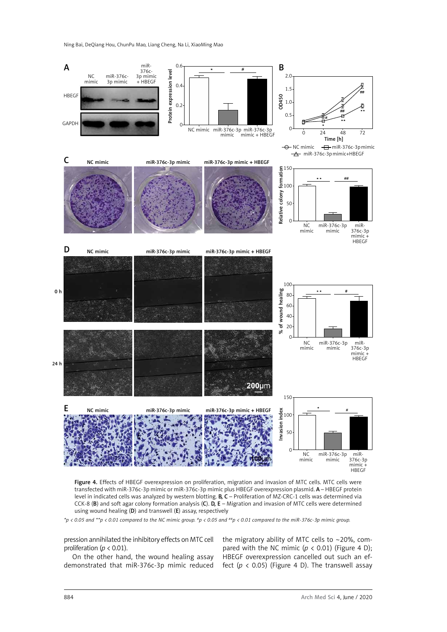Ning Bai, DeQiang Hou, ChunPu Mao, Liang Cheng, Na Li, XiaoMing Mao



Figure 4. Effects of HBEGF overexpression on proliferation, migration and invasion of MTC cells. MTC cells were transfected with miR-376c-3p mimic or miR-376c-3p mimic plus HBEGF overexpression plasmid. A – HBEGF protein level in indicated cells was analyzed by western blotting.  $B, C$  – Proliferation of MZ-CRC-1 cells was determined via CCK-8 (B) and soft agar colony formation analysis (C).  $\bar{D}$ , E – Migration and invasion of MTC cells were determined using wound healing (D) and transwell (E) assay, respectively

*\*p < 0.05 and \*\*p < 0.01 compared to the NC mimic group. #p < 0.05 and ##p < 0.01 compared to the miR-376c-3p mimic group.*

pression annihilated the inhibitory effects on MTC cell proliferation (*p* < 0.01).

On the other hand, the wound healing assay demonstrated that miR-376c-3p mimic reduced the migratory ability of MTC cells to  $\sim$  20%, compared with the NC mimic  $(p < 0.01)$  (Figure 4 D); HBEGF overexpression cancelled out such an effect ( $p$  < 0.05) (Figure 4 D). The transwell assay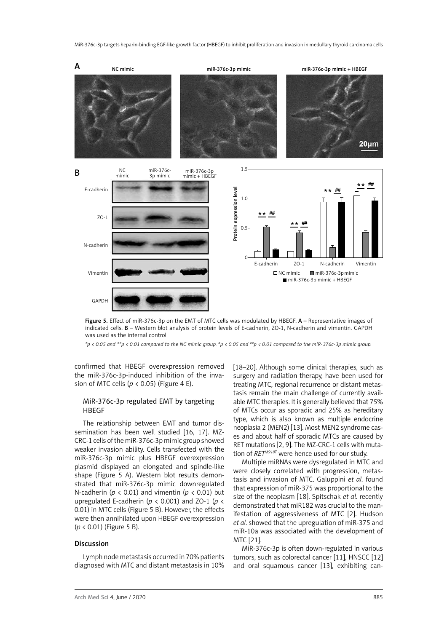

Figure 5. Effect of miR-376c-3p on the EMT of MTC cells was modulated by HBEGF. A - Representative images of indicated cells. B – Western blot analysis of protein levels of E-cadherin, ZO-1, N-cadherin and vimentin. GAPDH was used as the internal control

*\*p < 0.05 and \*\*p < 0.01 compared to the NC mimic group. #p < 0.05 and ##p < 0.01 compared to the miR-376c-3p mimic group.*

confirmed that HBEGF overexpression removed the miR-376c-3p-induced inhibition of the invasion of MTC cells (*p* < 0.05) (Figure 4 E).

### MiR-376c-3p regulated EMT by targeting HBEGF

The relationship between EMT and tumor dissemination has been well studied [16, 17]. MZ-CRC-1 cells of the miR-376c-3p mimic group showed weaker invasion ability. Cells transfected with the miR-376c-3p mimic plus HBEGF overexpression plasmid displayed an elongated and spindle-like shape (Figure 5 A). Western blot results demonstrated that miR-376c-3p mimic downregulated N-cadherin ( $p < 0.01$ ) and vimentin ( $p < 0.01$ ) but upregulated E-cadherin ( $p < 0.001$ ) and ZO-1 ( $p <$ 0.01) in MTC cells (Figure 5 B). However, the effects were then annihilated upon HBEGF overexpression (*p* < 0.01) (Figure 5 B).

#### Discussion

Lymph node metastasis occurred in 70% patients diagnosed with MTC and distant metastasis in 10% [18–20]. Although some clinical therapies, such as surgery and radiation therapy, have been used for treating MTC, regional recurrence or distant metastasis remain the main challenge of currently available MTC therapies. It is generally believed that 75% of MTCs occur as sporadic and 25% as hereditary type, which is also known as multiple endocrine neoplasia 2 (MEN2) [13]. Most MEN2 syndrome cases and about half of sporadic MTCs are caused by RET mutations [2, 9]. The MZ-CRC-1 cells with mutation of *RETM918T* were hence used for our study.

Multiple miRNAs were dysregulated in MTC and were closely correlated with progression, metastasis and invasion of MTC. Galuppini *et al.* found that expression of miR-375 was proportional to the size of the neoplasm [18]. Spitschak *et al.* recently demonstrated that miR182 was crucial to the manifestation of aggressiveness of MTC [2]. Hudson *et al.* showed that the upregulation of miR-375 and miR-10a was associated with the development of MTC [21].

MiR-376c-3p is often down-regulated in various tumors, such as colorectal cancer [11], HNSCC [12] and oral squamous cancer [13], exhibiting can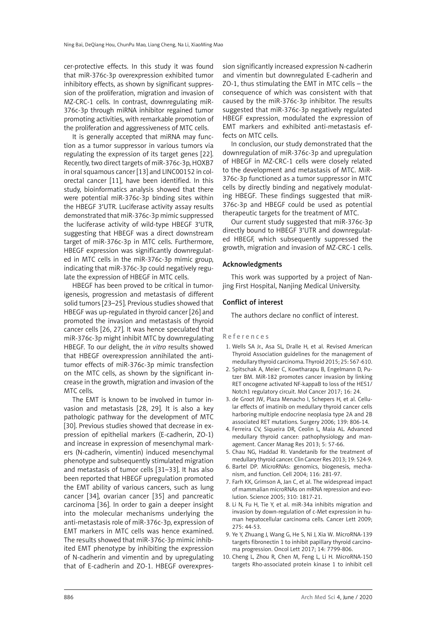cer-protective effects. In this study it was found that miR-376c-3p overexpression exhibited tumor inhibitory effects, as shown by significant suppression of the proliferation, migration and invasion of MZ-CRC-1 cells. In contrast, downregulating miR-376c-3p through miRNA inhibitor regained tumor promoting activities, with remarkable promotion of the proliferation and aggressiveness of MTC cells.

It is generally accepted that miRNA may function as a tumor suppressor in various tumors via regulating the expression of its target genes [22]. Recently, two direct targets of miR-376c-3p, HOXB7 in oral squamous cancer [13] and LINC00152 in colorectal cancer [11], have been identified. In this study, bioinformatics analysis showed that there were potential miR-376c-3p binding sites within the HBEGF 3′UTR. Luciferase activity assay results demonstrated that miR-376c-3p mimic suppressed the luciferase activity of wild-type HBEGF 3′UTR, suggesting that HBEGF was a direct downstream target of miR-376c-3p in MTC cells. Furthermore, HBEGF expression was significantly downregulated in MTC cells in the miR-376c-3p mimic group, indicating that miR-376c-3p could negatively regulate the expression of HBEGF in MTC cells.

HBEGF has been proved to be critical in tumorigenesis, progression and metastasis of different solid tumors [23–25]. Previous studies showed that HBEGF was up-regulated in thyroid cancer [26] and promoted the invasion and metastasis of thyroid cancer cells [26, 27]. It was hence speculated that miR-376c-3p might inhibit MTC by downregulating HBEGF. To our delight, the *in vitro* results showed that HBEGF overexpression annihilated the antitumor effects of miR-376c-3p mimic transfection on the MTC cells, as shown by the significant increase in the growth, migration and invasion of the MTC cells.

The EMT is known to be involved in tumor invasion and metastasis [28, 29]. It is also a key pathologic pathway for the development of MTC [30]. Previous studies showed that decrease in expression of epithelial markers (E-cadherin, ZO-1) and increase in expression of mesenchymal markers (N-cadherin, vimentin) induced mesenchymal phenotype and subsequently stimulated migration and metastasis of tumor cells [31–33]. It has also been reported that HBEGF upregulation promoted the EMT ability of various cancers, such as lung cancer [34], ovarian cancer [35] and pancreatic carcinoma [36]. In order to gain a deeper insight into the molecular mechanisms underlying the anti-metastasis role of miR-376c-3p, expression of EMT markers in MTC cells was hence examined. The results showed that miR-376c-3p mimic inhibited EMT phenotype by inhibiting the expression of N-cadherin and vimentin and by upregulating that of E-cadherin and ZO-1. HBEGF overexpression significantly increased expression N-cadherin and vimentin but downregulated E-cadherin and ZO-1, thus stimulating the EMT in MTC cells – the consequence of which was consistent with that caused by the miR-376c-3p inhibitor. The results suggested that miR-376c-3p negatively regulated HBEGF expression, modulated the expression of EMT markers and exhibited anti-metastasis effects on MTC cells.

In conclusion, our study demonstrated that the downregulation of miR-376c-3p and upregulation of HBEGF in MZ-CRC-1 cells were closely related to the development and metastasis of MTC. MiR-376c-3p functioned as a tumor suppressor in MTC cells by directly binding and negatively modulating HBEGF. These findings suggested that miR-376c-3p and HBEGF could be used as potential therapeutic targets for the treatment of MTC.

Our current study suggested that miR-376c-3p directly bound to HBEGF 3′UTR and downregulated HBEGF, which subsequently suppressed the growth, migration and invasion of MZ-CRC-1 cells.

#### Acknowledgments

This work was supported by a project of Nanjing First Hospital, Nanjing Medical University.

#### Conflict of interest

The authors declare no conflict of interest.

#### References

- 1. Wells SA Jr., Asa SL, Dralle H, et al. Revised American Thyroid Association guidelines for the management of medullary thyroid carcinoma. Thyroid 2015; 25: 567-610.
- 2. Spitschak A, Meier C, Kowtharapu B, Engelmann D, Putzer BM. MiR-182 promotes cancer invasion by linking RET oncogene activated NF-kappaB to loss of the HES1/ Notch1 regulatory circuit. Mol Cancer 2017; 16: 24.
- 3. de Groot JW, Plaza Menacho I, Schepers H, et al. Cellular effects of imatinib on medullary thyroid cancer cells harboring multiple endocrine neoplasia type 2A and 2B associated RET mutations. Surgery 2006; 139: 806-14.
- 4. Ferreira CV, Siqueira DR, Ceolin L, Maia AL. Advanced medullary thyroid cancer: pathophysiology and management. Cancer Manag Res 2013; 5: 57-66.
- 5. Chau NG, Haddad RI. Vandetanib for the treatment of medullary thyroid cancer. Clin Cancer Res 2013; 19: 524-9.
- 6. Bartel DP. MicroRNAs: genomics, biogenesis, mechanism, and function. Cell 2004; 116: 281-97.
- 7. Farh KK, Grimson A, Jan C, et al. The widespread impact of mammalian microRNAs on mRNA repression and evolution. Science 2005; 310: 1817-21.
- 8. Li N, Fu H, Tie Y, et al. miR-34a inhibits migration and invasion by down-regulation of c-Met expression in human hepatocellular carcinoma cells. Cancer Lett 2009; 275: 44-53.
- 9. Ye Y, Zhuang J, Wang G, He S, Ni J, Xia W. MicroRNA-139 targets fibronectin 1 to inhibit papillary thyroid carcinoma progression. Oncol Lett 2017; 14: 7799-806.
- 10. Cheng L, Zhou R, Chen M, Feng L, Li H. MicroRNA-150 targets Rho-associated protein kinase 1 to inhibit cell